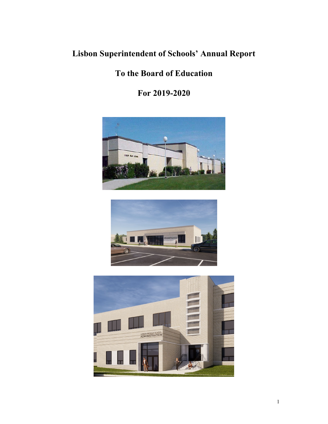## **Lisbon Superintendent of Schools' Annual Report**

## **To the Board of Education**

**For 2019-2020**





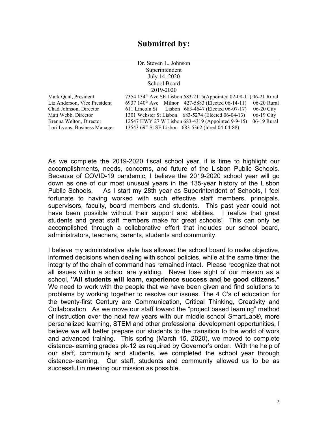|                              | Dr. Steven L. Johnson                                                         |              |
|------------------------------|-------------------------------------------------------------------------------|--------------|
|                              | Superintendent                                                                |              |
|                              | July 14, 2020                                                                 |              |
|                              | School Board                                                                  |              |
| 2019-2020                    |                                                                               |              |
| Mark Oual, President         | 7354 134 <sup>th</sup> Ave SE Lisbon 683-2115(Appointed 02-08-11) 06-21 Rural |              |
| Liz Anderson, Vice President | 6937 140 <sup>th</sup> Ave Milnor 427-5883 (Elected 06-14-11)                 | 06-20 Rural  |
| Chad Johnson, Director       | 611 Lincoln St Lisbon 683-4647 (Elected 06-07-17)                             | $06-20$ City |
| Matt Webb, Director          | 1301 Webster St Lisbon 683-5274 (Elected 06-04-13)                            | $06-19$ City |
| Brenna Welton, Director      | 12547 HWY 27 W Lisbon 683-4319 (Appointed 9-9-15)                             | 06-19 Rural  |
| Lori Lyons, Business Manager | 13543 69th St SE Lisbon 683-5362 (hired 04-04-88)                             |              |
|                              |                                                                               |              |

As we complete the 2019-2020 fiscal school year, it is time to highlight our accomplishments, needs, concerns, and future of the Lisbon Public Schools. Because of COVID-19 pandemic, I believe the 2019-2020 school year will go down as one of our most unusual years in the 135-year history of the Lisbon Public Schools. As I start my 28th year as Superintendent of Schools, I feel fortunate to having worked with such effective staff members, principals, supervisors, faculty, board members and students. This past year could not have been possible without their support and abilities. I realize that great students and great staff members make for great schools! This can only be accomplished through a collaborative effort that includes our school board, administrators, teachers, parents, students and community.

I believe my administrative style has allowed the school board to make objective, informed decisions when dealing with school policies, while at the same time; the integrity of the chain of command has remained intact. Please recognize that not all issues within a school are yielding. Never lose sight of our mission as a school, **"All students will learn, experience success and be good citizens."** We need to work with the people that we have been given and find solutions to problems by working together to resolve our issues. The 4 C's of education for the twenty-first Century are Communication, Critical Thinking, Creativity and Collaboration. As we move our staff toward the "project based learning" method of instruction over the next few years with our middle school SmartLab®, more personalized learning, STEM and other professional development opportunities, I believe we will better prepare our students to the transition to the world of work and advanced training. This spring (March 15, 2020), we moved to complete distance-learning grades pk-12 as required by Governor's order. With the help of our staff, community and students, we completed the school year through distance-learning. Our staff, students and community allowed us to be as successful in meeting our mission as possible.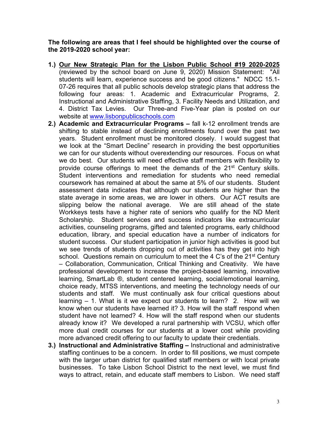**The following are areas that I feel should be highlighted over the course of the 2019-2020 school year:** 

- **1.) Our New Strategic Plan for the Lisbon Public School #19 2020-2025** (reviewed by the school board on June 9, 2020) Mission Statement: "All students will learn, experience success and be good citizens." NDCC 15.1- 07-26 requires that all public schools develop strategic plans that address the following four areas: 1. Academic and Extracurricular Programs, 2. Instructional and Administrative Staffing, 3. Facility Needs and Utilization, and 4. District Tax Levies. Our Three-and Five-Year plan is posted on our website at [www.lisbonpublicschools.com](http://www.lisbonpublicschools.com/)
- **2.) Academic and Extracurricular Programs –** fall k-12 enrollment trends are shifting to stable instead of declining enrollments found over the past two years. Student enrollment must be monitored closely. I would suggest that we look at the "Smart Decline" research in providing the best opportunities we can for our students without overextending our resources. Focus on what we do best. Our students will need effective staff members with flexibility to provide course offerings to meet the demands of the 21<sup>st</sup> Century skills. Student interventions and remediation for students who need remedial coursework has remained at about the same at 5% of our students. Student assessment data indicates that although our students are higher than the state average in some areas, we are lower in others. Our ACT results are slipping below the national average. We are still ahead of the state Workkeys tests have a higher rate of seniors who qualify for the ND Merit Scholarship. Student services and success indicators like extracurricular activities, counseling programs, gifted and talented programs, early childhood education, library, and special education have a number of indicators for student success. Our student participation in junior high activities is good but we see trends of students dropping out of activities has they get into high school. Questions remain on curriculum to meet the 4 C's of the 21<sup>st</sup> Century – Collaboration, Communication, Critical Thinking and Creativity. We have professional development to increase the project-based learning, innovative learning, SmartLab ®, student centered learning, social/emotional learning, choice ready, MTSS interventions, and meeting the technology needs of our students and staff. We must continually ask four critical questions about learning – 1. What is it we expect our students to learn? 2. How will we know when our students have learned it? 3. How will the staff respond when student have not learned? 4. How will the staff respond when our students already know it? We developed a rural partnership with VCSU, which offer more dual credit courses for our students at a lower cost while providing more advanced credit offering to our faculty to update their credentials.
- **3.) Instructional and Administrative Staffing –** Instructional and administrative staffing continues to be a concern. In order to fill positions, we must compete with the larger urban district for qualified staff members or with local private businesses. To take Lisbon School District to the next level, we must find ways to attract, retain, and educate staff members to Lisbon. We need staff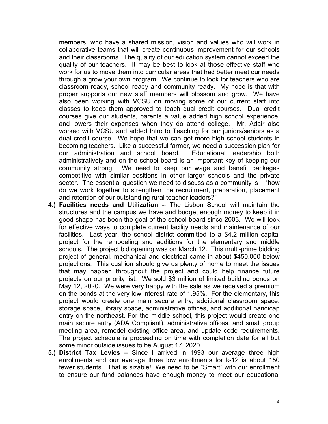members, who have a shared mission, vision and values who will work in collaborative teams that will create continuous improvement for our schools and their classrooms. The quality of our education system cannot exceed the quality of our teachers. It may be best to look at those effective staff who work for us to move them into curricular areas that had better meet our needs through a grow your own program. We continue to look for teachers who are classroom ready, school ready and community ready. My hope is that with proper supports our new staff members will blossom and grow. We have also been working with VCSU on moving some of our current staff into classes to keep them approved to teach dual credit courses. Dual credit courses give our students, parents a value added high school experience, and lowers their expenses when they do attend college. Mr. Adair also worked with VCSU and added Intro to Teaching for our juniors/seniors as a dual credit course. We hope that we can get more high school students in becoming teachers. Like a successful farmer, we need a succession plan for our administration and school board. Educational leadership both administratively and on the school board is an important key of keeping our community strong. We need to keep our wage and benefit packages competitive with similar positions in other larger schools and the private sector. The essential question we need to discuss as a community is – "how do we work together to strengthen the recruitment, preparation, placement and retention of our outstanding rural teacher-leaders?"

- **4.) Facilities needs and Utilization -** The Lisbon School will maintain the structures and the campus we have and budget enough money to keep it in good shape has been the goal of the school board since 2003. We will look for effective ways to complete current facility needs and maintenance of our facilities. Last year, the school district committed to a \$4.2 million capital project for the remodeling and additions for the elementary and middle schools. The project bid opening was on March 12. This multi-prime bidding project of general, mechanical and electrical came in about \$450,000 below projections. This cushion should give us plenty of home to meet the issues that may happen throughout the project and could help finance future projects on our priority list. We sold \$3 million of limited building bonds on May 12, 2020. We were very happy with the sale as we received a premium on the bonds at the very low interest rate of 1.95%. For the elementary, this project would create one main secure entry, additional classroom space, storage space, library space, administrative offices, and additional handicap entry on the northeast. For the middle school, this project would create one main secure entry (ADA Compliant), administrative offices, and small group meeting area, remodel existing office area, and update code requirements. The project schedule is proceeding on time with completion date for all but some minor outside issues to be August 17, 2020.
- **5.) District Tax Levies –** Since I arrived in 1993 our average three high enrollments and our average three low enrollments for k-12 is about 150 fewer students. That is sizable! We need to be "Smart" with our enrollment to ensure our fund balances have enough money to meet our educational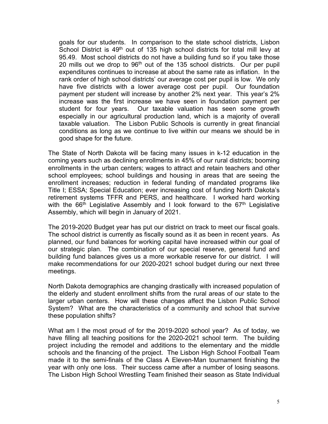goals for our students. In comparison to the state school districts, Lisbon School District is 49<sup>th</sup> out of 135 high school districts for total mill levy at 95.49. Most school districts do not have a building fund so if you take those 20 mills out we drop to 96<sup>th</sup> out of the 135 school districts. Our per pupil expenditures continues to increase at about the same rate as inflation. In the rank order of high school districts' our average cost per pupil is low. We only have five districts with a lower average cost per pupil. Our foundation payment per student will increase by another 2% next year. This year's 2% increase was the first increase we have seen in foundation payment per student for four years. Our taxable valuation has seen some growth especially in our agricultural production land, which is a majority of overall taxable valuation. The Lisbon Public Schools is currently in great financial conditions as long as we continue to live within our means we should be in good shape for the future.

The State of North Dakota will be facing many issues in k-12 education in the coming years such as declining enrollments in 45% of our rural districts; booming enrollments in the urban centers; wages to attract and retain teachers and other school employees; school buildings and housing in areas that are seeing the enrollment increases; reduction in federal funding of mandated programs like Title I; ESSA; Special Education; ever increasing cost of funding North Dakota's retirement systems TFFR and PERS, and healthcare. I worked hard working with the  $66<sup>th</sup>$  Legislative Assembly and I look forward to the  $67<sup>th</sup>$  Legislative Assembly, which will begin in January of 2021.

The 2019-2020 Budget year has put our district on track to meet our fiscal goals. The school district is currently as fiscally sound as it as been in recent years. As planned, our fund balances for working capital have increased within our goal of our strategic plan. The combination of our special reserve, general fund and building fund balances gives us a more workable reserve for our district. I will make recommendations for our 2020-2021 school budget during our next three meetings.

North Dakota demographics are changing drastically with increased population of the elderly and student enrollment shifts from the rural areas of our state to the larger urban centers. How will these changes affect the Lisbon Public School System? What are the characteristics of a community and school that survive these population shifts?

What am I the most proud of for the 2019-2020 school year? As of today, we have filling all teaching positions for the 2020-2021 school term. The building project including the remodel and additions to the elementary and the middle schools and the financing of the project. The Lisbon High School Football Team made it to the semi-finals of the Class A Eleven-Man tournament finishing the year with only one loss. Their success came after a number of losing seasons. The Lisbon High School Wrestling Team finished their season as State Individual